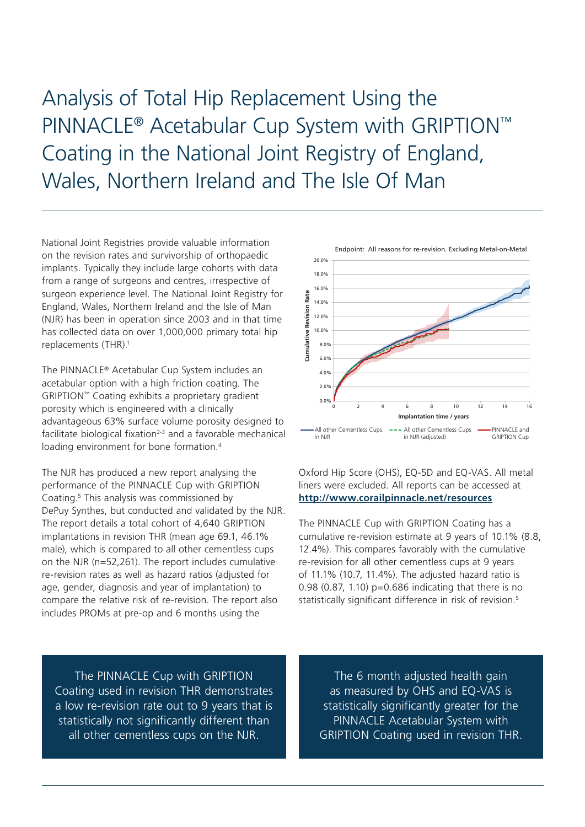Analysis of Total Hip Replacement Using the PINNACLE® Acetabular Cup System with GRIPTION™ Coating in the National Joint Registry of England, Wales, Northern Ireland and The Isle Of Man

National Joint Registries provide valuable information on the revision rates and survivorship of orthopaedic implants. Typically they include large cohorts with data from a range of surgeons and centres, irrespective of surgeon experience level. The National Joint Registry for England, Wales, Northern Ireland and the Isle of Man (NJR) has been in operation since 2003 and in that time has collected data on over 1,000,000 primary total hip replacements (THR).<sup>1</sup>

The PINNACLE® Acetabular Cup System includes an acetabular option with a high friction coating. The GRIPTION™ Coating exhibits a proprietary gradient porosity which is engineered with a clinically advantageous 63% surface volume porosity designed to facilitate biological fixation $2-3$  and a favorable mechanical loading environment for bone formation.<sup>4</sup>

The NJR has produced a new report analysing the performance of the PINNACLE Cup with GRIPTION Coating.<sup>5</sup> This analysis was commissioned by DePuy Synthes, but conducted and validated by the NJR. The report details a total cohort of 4,640 GRIPTION implantations in revision THR (mean age 69.1, 46.1% male), which is compared to all other cementless cups on the NJR (n=52,261). The report includes cumulative re-revision rates as well as hazard ratios (adjusted for age, gender, diagnosis and year of implantation) to compare the relative risk of re-revision. The report also includes PROMs at pre-op and 6 months using the



Oxford Hip Score (OHS), EQ-5D and EQ-VAS. All metal liners were excluded. All reports can be accessed at **<http://www.corailpinnacle.net/resources>**

The PINNACLE Cup with GRIPTION Coating has a cumulative re-revision estimate at 9 years of 10.1% (8.8, 12.4%). This compares favorably with the cumulative re-revision for all other cementless cups at 9 years of 11.1% (10.7, 11.4%). The adjusted hazard ratio is 0.98 (0.87, 1.10)  $p=0.686$  indicating that there is no statistically significant difference in risk of revision.5

The PINNACLE Cup with GRIPTION Coating used in revision THR demonstrates a low re-revision rate out to 9 years that is statistically not significantly different than all other cementless cups on the NJR.

The 6 month adjusted health gain as measured by OHS and EQ-VAS is statistically significantly greater for the PINNACLE Acetabular System with GRIPTION Coating used in revision THR.